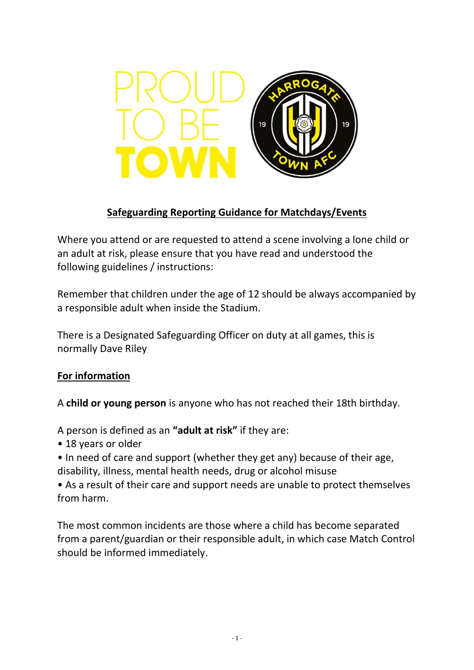

## **Safeguarding Reporting Guidance for Matchdays/Events**

Where you attend or are requested to attend a scene involving a lone child or an adult at risk, please ensure that you have read and understood the following guidelines / instructions:

Remember that children under the age of 12 should be always accompanied by a responsible adult when inside the Stadium.

There is a Designated Safeguarding Officer on duty at all games, this is normally Dave Riley

### **For information**

A **child or young person** is anyone who has not reached their 18th birthday.

A person is defined as an **"adult at risk"** if they are:

• 18 years or older

• In need of care and support (whether they get any) because of their age, disability, illness, mental health needs, drug or alcohol misuse

• As a result of their care and support needs are unable to protect themselves from harm.

The most common incidents are those where a child has become separated from a parent/guardian or their responsible adult, in which case Match Control should be informed immediately.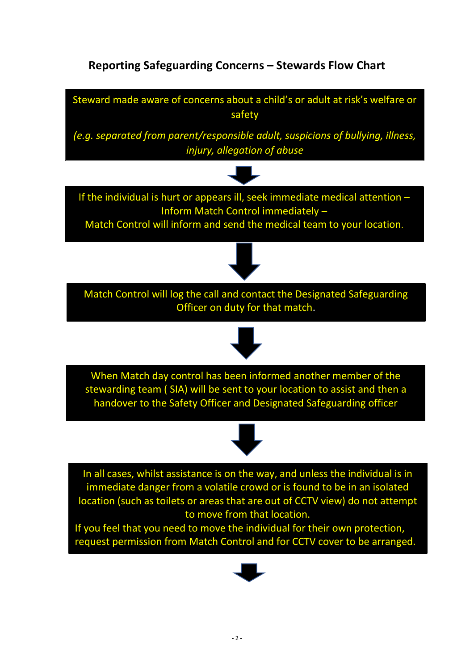# **Reporting Safeguarding Concerns – Stewards Flow Chart**



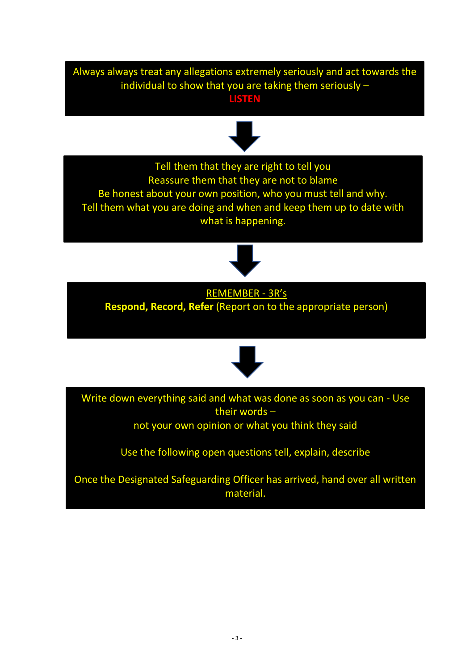Always always treat any allegations extremely seriously and act towards the individual to show that you are taking them seriously – **LISTEN**

# Kirklees Emergency Duty Service 01484 414933 (outside office hours)

Tell them that they are right to tell you Reassure them that they are not to blame Be honest about your own position, who you must tell and why. Tell them what you are doing and when and keep them up to date with what is happening.



REMEMBER - 3R's **Respond, Record, Refer** (Report on to the appropriate person)





Write down everything said and what was done as soon as you can - Use their words –

not your own opinion or what you think they said

Use the following open questions tell, explain, describe

Once the Designated Safeguarding Officer has arrived, hand over all written material.